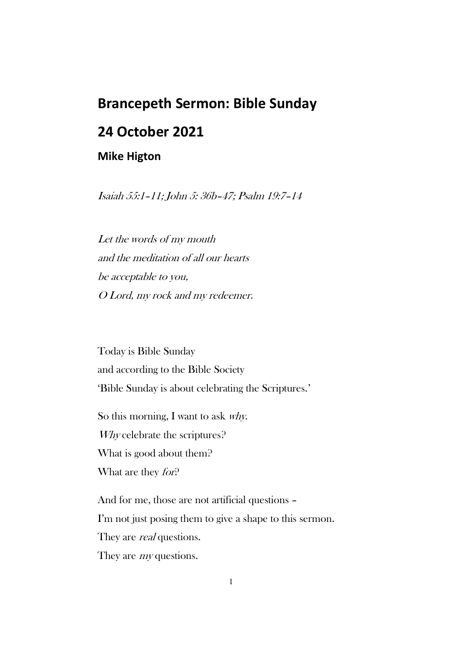## **Brancepeth Sermon: Bible Sunday**

## **24 October 2021**

## **Mike Higton**

Isaiah 55:1–11; John 5: 36b–47; Psalm 19:7–14

Let the words of my mouth and the meditation of all our hearts be acceptable to you, O Lord, my rock and my redeemer.

Today is Bible Sunday and according to the Bible Society 'Bible Sunday is about celebrating the Scriptures.'

So this morning, I want to ask why. Why celebrate the scriptures? What is good about them? What are they *for*?

And for me, those are not artificial questions – I'm not just posing them to give a shape to this sermon. They are *real* questions. They are *my* questions.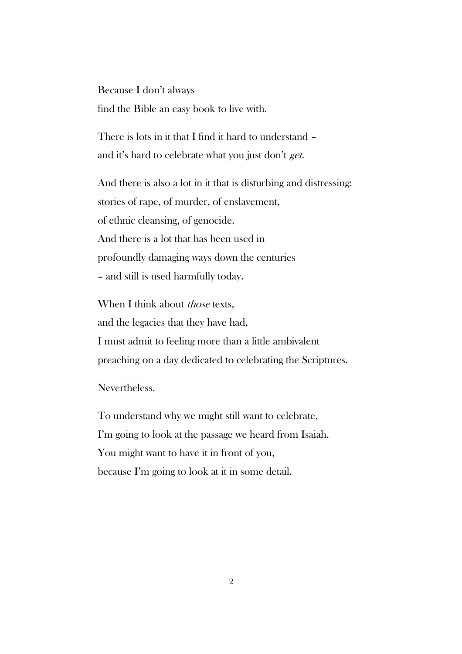Because I don't always find the Bible an easy book to live with.

There is lots in it that I find it hard to understand – and it's hard to celebrate what you just don't get.

And there is also a lot in it that is disturbing and distressing: stories of rape, of murder, of enslavement, of ethnic cleansing, of genocide. And there is a lot that has been used in profoundly damaging ways down the centuries – and still is used harmfully today.

When I think about *those* texts, and the legacies that they have had, I must admit to feeling more than a little ambivalent preaching on a day dedicated to celebrating the Scriptures.

Nevertheless.

To understand why we might still want to celebrate, I'm going to look at the passage we heard from Isaiah. You might want to have it in front of you, because I'm going to look at it in some detail.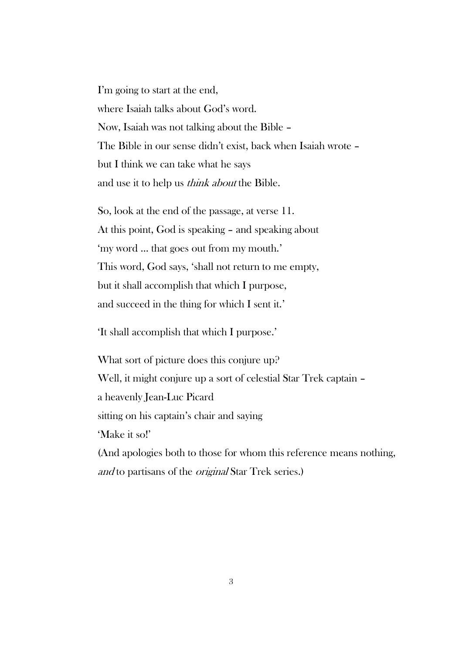I'm going to start at the end, where Isaiah talks about God's word. Now, Isaiah was not talking about the Bible – The Bible in our sense didn't exist, back when Isaiah wrote – but I think we can take what he says and use it to help us think about the Bible.

So, look at the end of the passage, at verse 11. At this point, God is speaking – and speaking about 'my word … that goes out from my mouth.' This word, God says, 'shall not return to me empty, but it shall accomplish that which I purpose, and succeed in the thing for which I sent it.'

'It shall accomplish that which I purpose.'

What sort of picture does this conjure up? Well, it might conjure up a sort of celestial Star Trek captain – a heavenly Jean-Luc Picard sitting on his captain's chair and saying 'Make it so!' (And apologies both to those for whom this reference means nothing, and to partisans of the original Star Trek series.)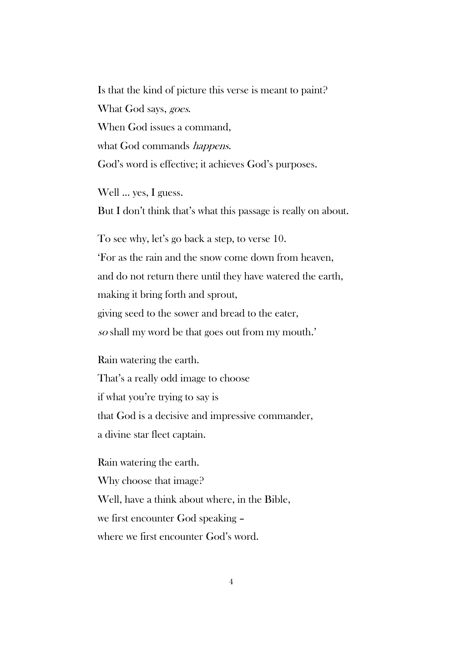Is that the kind of picture this verse is meant to paint? What God says, goes. When God issues a command, what God commands *happens*. God's word is effective; it achieves God's purposes.

Well … yes, I guess. But I don't think that's what this passage is really on about.

To see why, let's go back a step, to verse 10. 'For as the rain and the snow come down from heaven, and do not return there until they have watered the earth, making it bring forth and sprout, giving seed to the sower and bread to the eater, so shall my word be that goes out from my mouth.'

Rain watering the earth. That's a really odd image to choose if what you're trying to say is that God is a decisive and impressive commander, a divine star fleet captain.

Rain watering the earth. Why choose that image? Well, have a think about where, in the Bible, we first encounter God speaking – where we first encounter God's word.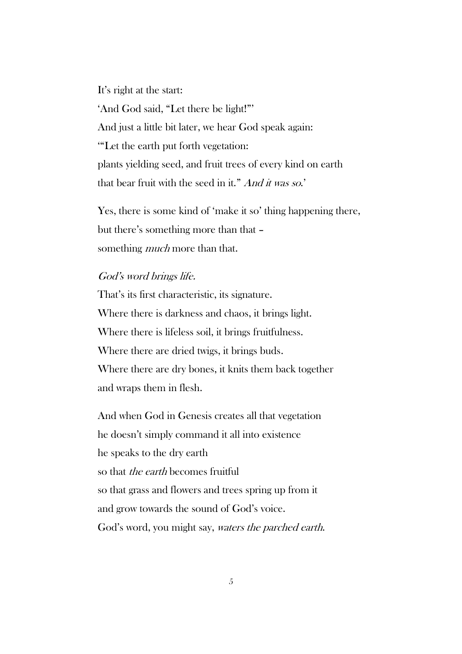It's right at the start: 'And God said, "Let there be light!"' And just a little bit later, we hear God speak again: '"Let the earth put forth vegetation: plants yielding seed, and fruit trees of every kind on earth that bear fruit with the seed in it." And it was so.'

Yes, there is some kind of 'make it so' thing happening there, but there's something more than that – something *much* more than that.

## God's word brings life.

That's its first characteristic, its signature. Where there is darkness and chaos, it brings light. Where there is lifeless soil, it brings fruitfulness. Where there are dried twigs, it brings buds. Where there are dry bones, it knits them back together and wraps them in flesh.

And when God in Genesis creates all that vegetation he doesn't simply command it all into existence he speaks to the dry earth so that *the earth* becomes fruitful so that grass and flowers and trees spring up from it and grow towards the sound of God's voice. God's word, you might say, waters the parched earth.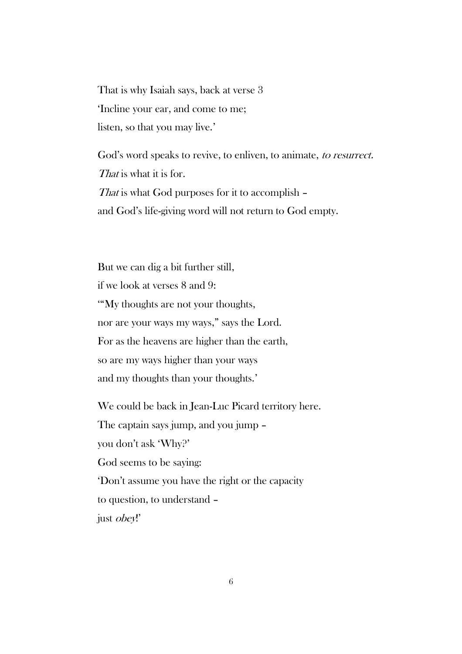That is why Isaiah says, back at verse 3 'Incline your ear, and come to me; listen, so that you may live.'

God's word speaks to revive, to enliven, to animate, to resurrect. That is what it is for. That is what God purposes for it to accomplish – and God's life-giving word will not return to God empty.

But we can dig a bit further still, if we look at verses 8 and 9: '"My thoughts are not your thoughts, nor are your ways my ways," says the Lord. For as the heavens are higher than the earth, so are my ways higher than your ways and my thoughts than your thoughts.'

We could be back in Jean-Luc Picard territory here. The captain says jump, and you jump – you don't ask 'Why?' God seems to be saying: 'Don't assume you have the right or the capacity to question, to understand – just obey!'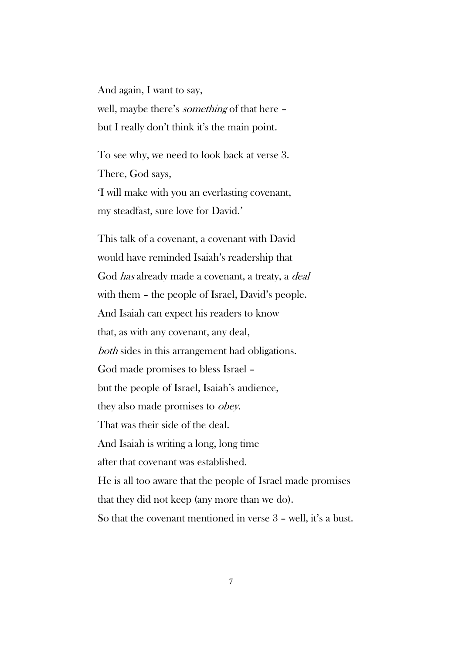And again, I want to say, well, maybe there's something of that here – but I really don't think it's the main point.

To see why, we need to look back at verse 3. There, God says, 'I will make with you an everlasting covenant, my steadfast, sure love for David.'

This talk of a covenant, a covenant with David would have reminded Isaiah's readership that God *has* already made a covenant, a treaty, a *deal* with them – the people of Israel, David's people. And Isaiah can expect his readers to know that, as with any covenant, any deal, both sides in this arrangement had obligations. God made promises to bless Israel – but the people of Israel, Isaiah's audience, they also made promises to obey. That was their side of the deal. And Isaiah is writing a long, long time after that covenant was established. He is all too aware that the people of Israel made promises that they did not keep (any more than we do). So that the covenant mentioned in verse 3 – well, it's a bust.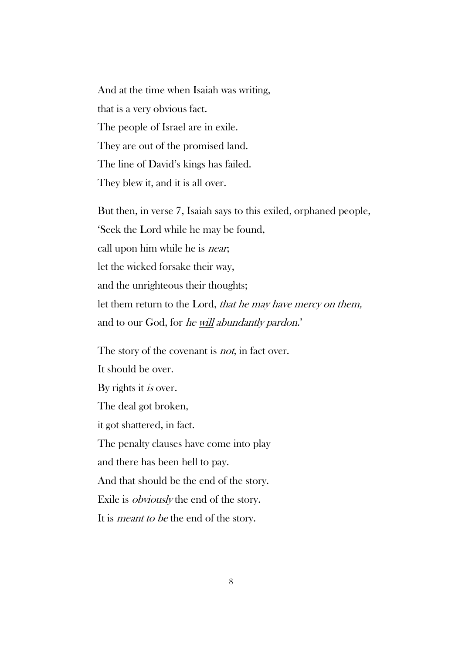And at the time when Isaiah was writing, that is a very obvious fact. The people of Israel are in exile. They are out of the promised land. The line of David's kings has failed. They blew it, and it is all over.

But then, in verse 7, Isaiah says to this exiled, orphaned people, 'Seek the Lord while he may be found, call upon him while he is *near*; let the wicked forsake their way, and the unrighteous their thoughts; let them return to the Lord, that he may have mercy on them, and to our God, for he will abundantly pardon.'

The story of the covenant is *not*, in fact over. It should be over. By rights it *is* over. The deal got broken, it got shattered, in fact. The penalty clauses have come into play and there has been hell to pay. And that should be the end of the story. Exile is obviously the end of the story. It is *meant to be* the end of the story.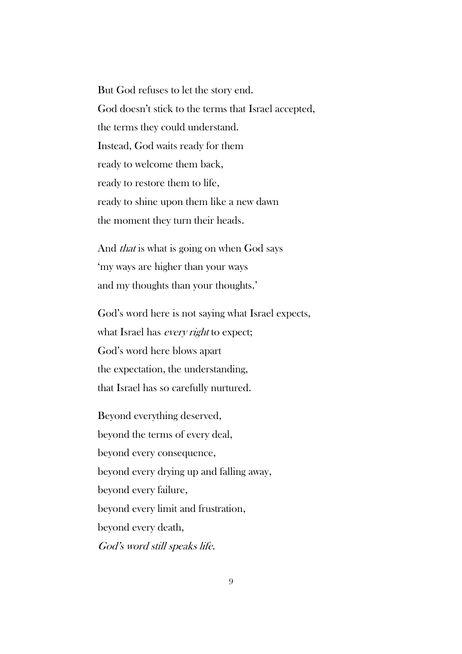But God refuses to let the story end. God doesn't stick to the terms that Israel accepted, the terms they could understand. Instead, God waits ready for them ready to welcome them back, ready to restore them to life, ready to shine upon them like a new dawn the moment they turn their heads.

And *that* is what is going on when God says 'my ways are higher than your ways and my thoughts than your thoughts.'

God's word here is not saying what Israel expects, what Israel has *every right* to expect; God's word here blows apart the expectation, the understanding, that Israel has so carefully nurtured.

Beyond everything deserved, beyond the terms of every deal, beyond every consequence, beyond every drying up and falling away, beyond every failure, beyond every limit and frustration, beyond every death, God's word still speaks life.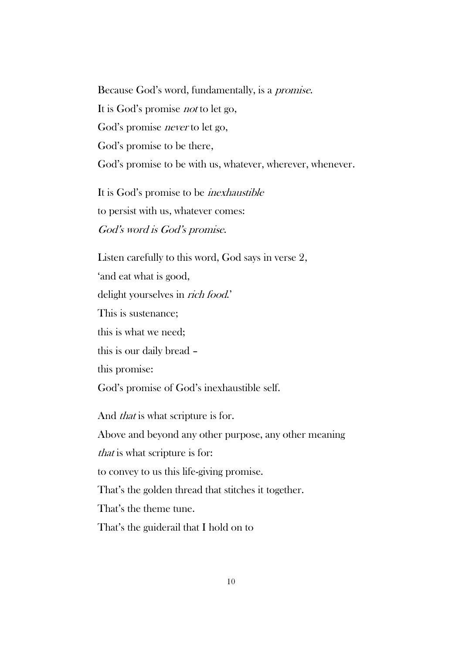Because God's word, fundamentally, is a promise. It is God's promise not to let go, God's promise never to let go, God's promise to be there, God's promise to be with us, whatever, wherever, whenever.

It is God's promise to be inexhaustible to persist with us, whatever comes: God's word is God's promise.

Listen carefully to this word, God says in verse 2, 'and eat what is good, delight yourselves in *rich food.*' This is sustenance; this is what we need; this is our daily bread – this promise: God's promise of God's inexhaustible self. And *that* is what scripture is for. Above and beyond any other purpose, any other meaning that is what scripture is for: to convey to us this life-giving promise. That's the golden thread that stitches it together.

That's the theme tune. That's the guiderail that I hold on to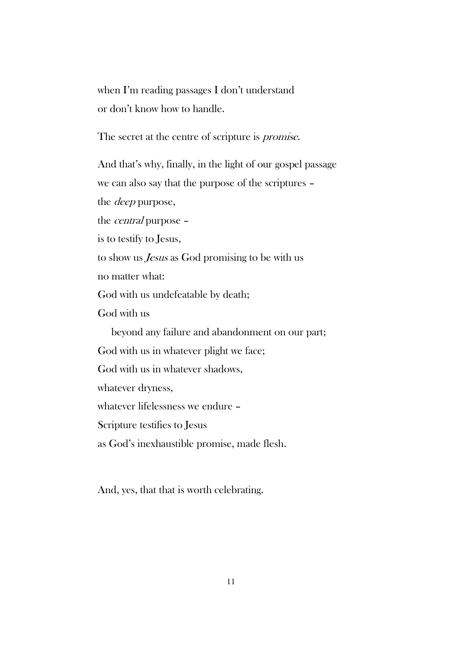when I'm reading passages I don't understand or don't know how to handle.

The secret at the centre of scripture is *promise*.

And that's why, finally, in the light of our gospel passage we can also say that the purpose of the scriptures – the deep purpose, the central purpose – is to testify to Jesus, to show us Jesus as God promising to be with us no matter what: God with us undefeatable by death; God with us beyond any failure and abandonment on our part; God with us in whatever plight we face; God with us in whatever shadows, whatever dryness, whatever lifelessness we endure – Scripture testifies to Jesus as God's inexhaustible promise, made flesh.

And, yes, that that is worth celebrating.